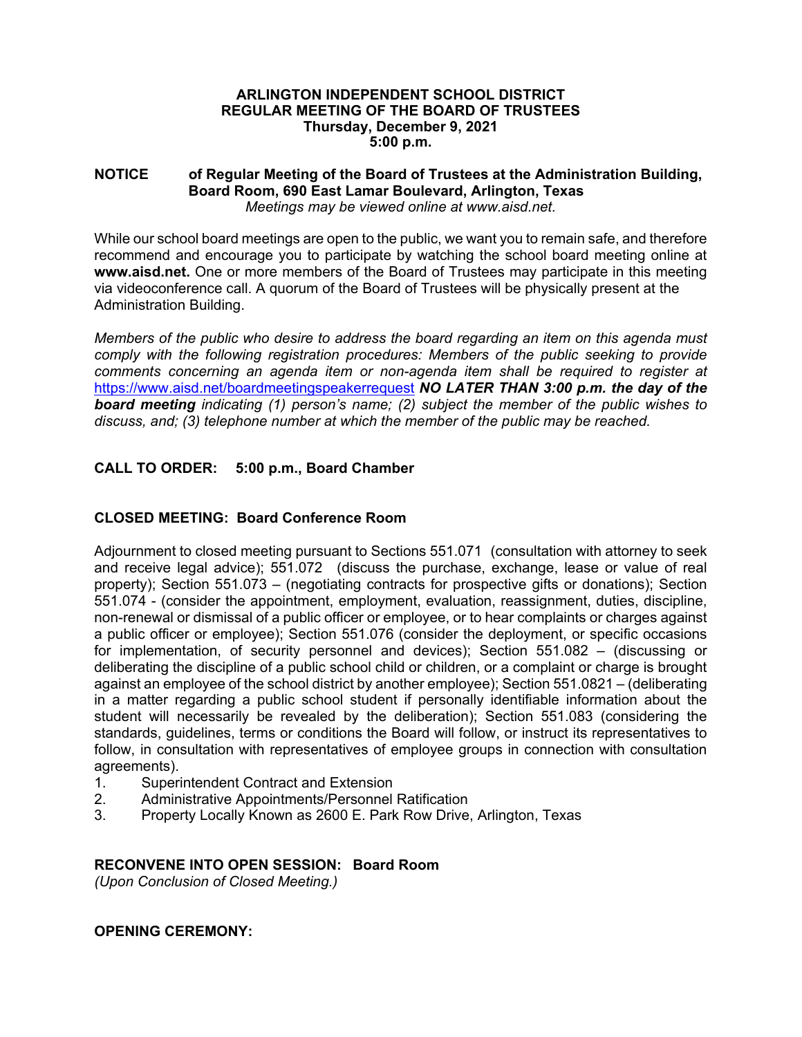### **ARLINGTON INDEPENDENT SCHOOL DISTRICT REGULAR MEETING OF THE BOARD OF TRUSTEES Thursday, December 9, 2021 5:00 p.m.**

#### **NOTICE of Regular Meeting of the Board of Trustees at the Administration Building, Board Room, 690 East Lamar Boulevard, Arlington, Texas**  *Meetings may be viewed online at www.aisd.net.*

While our school board meetings are open to the public, we want you to remain safe, and therefore recommend and encourage you to participate by watching the school board meeting online at **www.aisd.net.** One or more members of the Board of Trustees may participate in this meeting via videoconference call. A quorum of the Board of Trustees will be physically present at the Administration Building.

*Members of the public who desire to address the board regarding an item on this agenda must comply with the following registration procedures: Members of the public seeking to provide comments concerning an agenda item or non-agenda item shall be required to register at*  https://www.aisd.net/boardmeetingspeakerrequest *NO LATER THAN 3:00 p.m. the day of the board meeting indicating (1) person's name; (2) subject the member of the public wishes to discuss, and; (3) telephone number at which the member of the public may be reached.* 

# **CALL TO ORDER: 5:00 p.m., Board Chamber**

# **CLOSED MEETING: Board Conference Room**

Adjournment to closed meeting pursuant to Sections 551.071 (consultation with attorney to seek and receive legal advice); 551.072 (discuss the purchase, exchange, lease or value of real property); Section 551.073 – (negotiating contracts for prospective gifts or donations); Section 551.074 - (consider the appointment, employment, evaluation, reassignment, duties, discipline, non-renewal or dismissal of a public officer or employee, or to hear complaints or charges against a public officer or employee); Section 551.076 (consider the deployment, or specific occasions for implementation, of security personnel and devices); Section 551.082 – (discussing or deliberating the discipline of a public school child or children, or a complaint or charge is brought against an employee of the school district by another employee); Section 551.0821 – (deliberating in a matter regarding a public school student if personally identifiable information about the student will necessarily be revealed by the deliberation); Section 551.083 (considering the standards, guidelines, terms or conditions the Board will follow, or instruct its representatives to follow, in consultation with representatives of employee groups in connection with consultation agreements).

- 1. Superintendent Contract and Extension
- 2. Administrative Appointments/Personnel Ratification
- 3. Property Locally Known as 2600 E. Park Row Drive, Arlington, Texas

### **RECONVENE INTO OPEN SESSION: Board Room**

*(Upon Conclusion of Closed Meeting.)* 

### **OPENING CEREMONY:**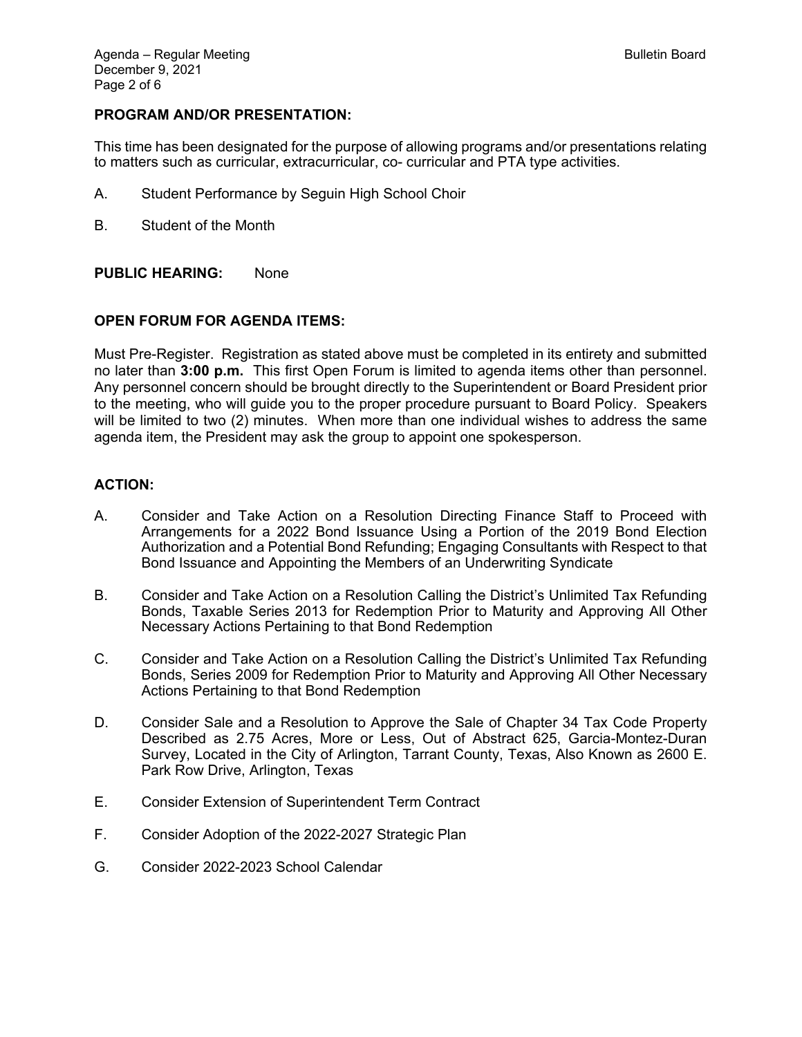### **PROGRAM AND/OR PRESENTATION:**

This time has been designated for the purpose of allowing programs and/or presentations relating to matters such as curricular, extracurricular, co- curricular and PTA type activities.

- A. Student Performance by Seguin High School Choir
- B. Student of the Month

### **PUBLIC HEARING:** None

### **OPEN FORUM FOR AGENDA ITEMS:**

Must Pre-Register. Registration as stated above must be completed in its entirety and submitted no later than **3:00 p.m.** This first Open Forum is limited to agenda items other than personnel. Any personnel concern should be brought directly to the Superintendent or Board President prior to the meeting, who will guide you to the proper procedure pursuant to Board Policy. Speakers will be limited to two (2) minutes. When more than one individual wishes to address the same agenda item, the President may ask the group to appoint one spokesperson.

#### **ACTION:**

- A. Consider and Take Action on a Resolution Directing Finance Staff to Proceed with Arrangements for a 2022 Bond Issuance Using a Portion of the 2019 Bond Election Authorization and a Potential Bond Refunding; Engaging Consultants with Respect to that Bond Issuance and Appointing the Members of an Underwriting Syndicate
- B. Consider and Take Action on a Resolution Calling the District's Unlimited Tax Refunding Bonds, Taxable Series 2013 for Redemption Prior to Maturity and Approving All Other Necessary Actions Pertaining to that Bond Redemption
- C. Consider and Take Action on a Resolution Calling the District's Unlimited Tax Refunding Bonds, Series 2009 for Redemption Prior to Maturity and Approving All Other Necessary Actions Pertaining to that Bond Redemption
- D. Consider Sale and a Resolution to Approve the Sale of Chapter 34 Tax Code Property Described as 2.75 Acres, More or Less, Out of Abstract 625, Garcia-Montez-Duran Survey, Located in the City of Arlington, Tarrant County, Texas, Also Known as 2600 E. Park Row Drive, Arlington, Texas
- E. Consider Extension of Superintendent Term Contract
- F. Consider Adoption of the 2022-2027 Strategic Plan
- G. Consider 2022-2023 School Calendar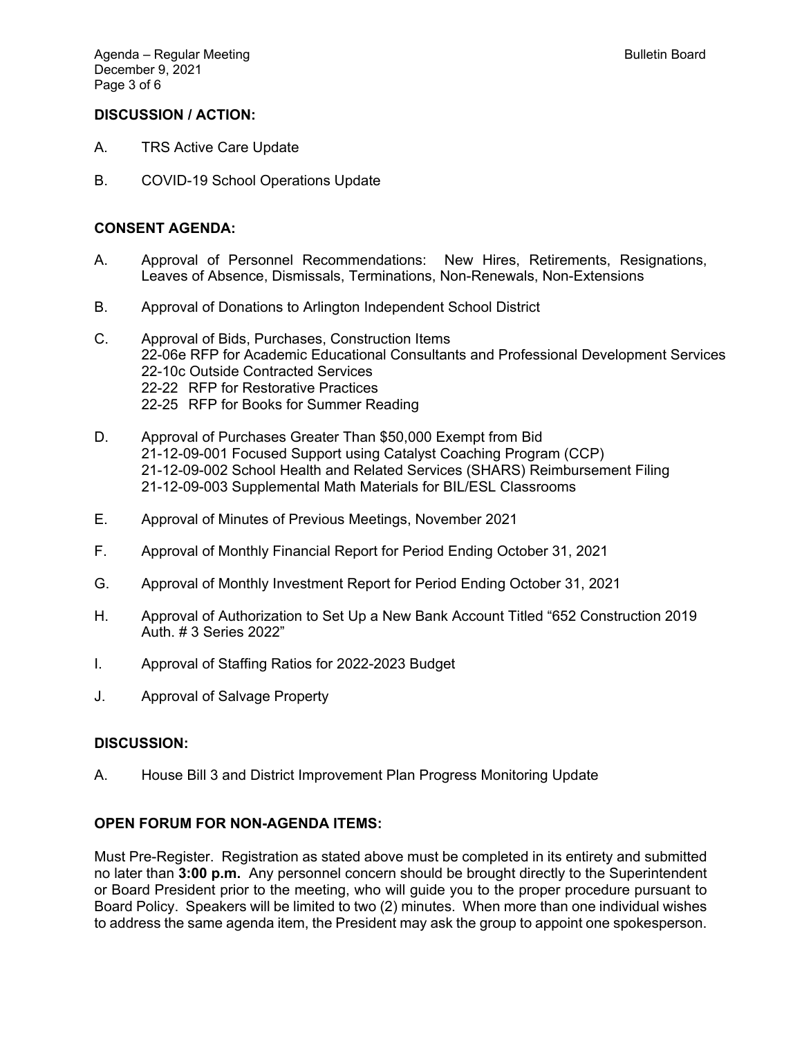## **DISCUSSION / ACTION:**

- A. TRS Active Care Update
- B. COVID-19 School Operations Update

### **CONSENT AGENDA:**

- A. Approval of Personnel Recommendations: New Hires, Retirements, Resignations, Leaves of Absence, Dismissals, Terminations, Non-Renewals, Non-Extensions
- B. Approval of Donations to Arlington Independent School District
- C. Approval of Bids, Purchases, Construction Items 22-06e RFP for Academic Educational Consultants and Professional Development Services 22-10c Outside Contracted Services 22-22 RFP for Restorative Practices 22-25 RFP for Books for Summer Reading
- D. Approval of Purchases Greater Than \$50,000 Exempt from Bid 21-12-09-001 Focused Support using Catalyst Coaching Program (CCP) 21-12-09-002 School Health and Related Services (SHARS) Reimbursement Filing 21-12-09-003 Supplemental Math Materials for BIL/ESL Classrooms
- E. Approval of Minutes of Previous Meetings, November 2021
- F. Approval of Monthly Financial Report for Period Ending October 31, 2021
- G. Approval of Monthly Investment Report for Period Ending October 31, 2021
- H. Approval of Authorization to Set Up a New Bank Account Titled "652 Construction 2019 Auth. # 3 Series 2022"
- I. Approval of Staffing Ratios for 2022-2023 Budget
- J. Approval of Salvage Property

### **DISCUSSION:**

A. House Bill 3 and District Improvement Plan Progress Monitoring Update

### **OPEN FORUM FOR NON-AGENDA ITEMS:**

Must Pre-Register. Registration as stated above must be completed in its entirety and submitted no later than **3:00 p.m.** Any personnel concern should be brought directly to the Superintendent or Board President prior to the meeting, who will guide you to the proper procedure pursuant to Board Policy. Speakers will be limited to two (2) minutes. When more than one individual wishes to address the same agenda item, the President may ask the group to appoint one spokesperson.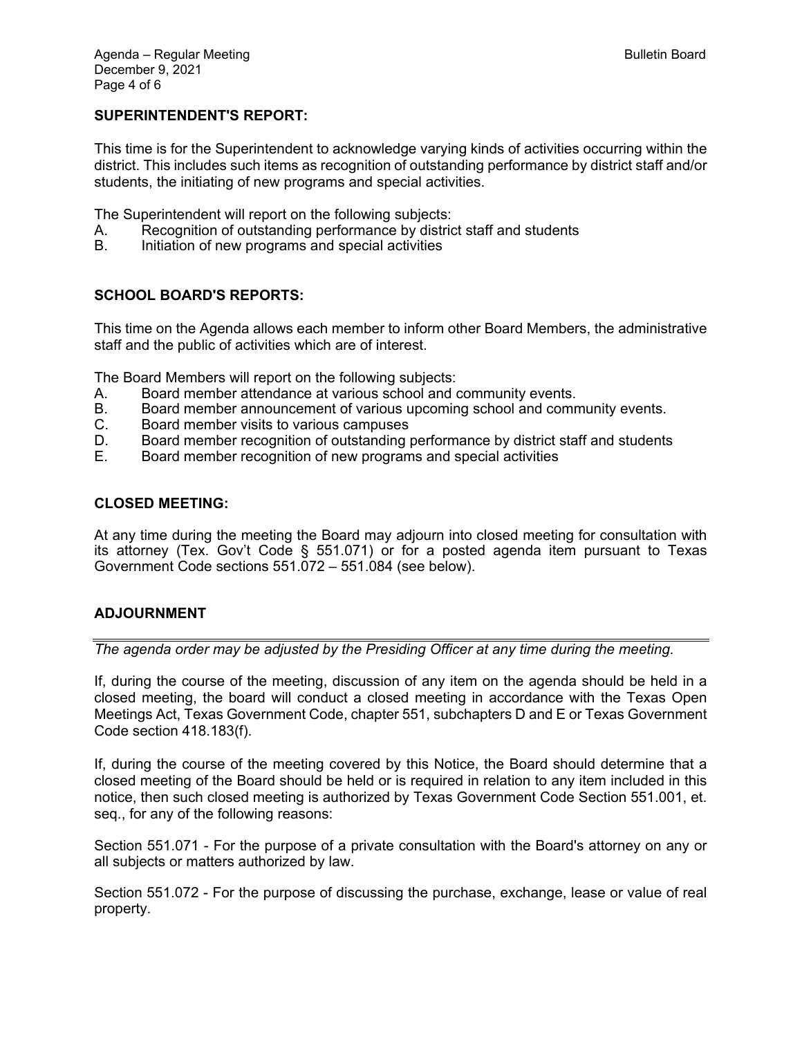## **SUPERINTENDENT'S REPORT:**

This time is for the Superintendent to acknowledge varying kinds of activities occurring within the district. This includes such items as recognition of outstanding performance by district staff and/or students, the initiating of new programs and special activities.

The Superintendent will report on the following subjects:

- A. Recognition of outstanding performance by district staff and students
- B. Initiation of new programs and special activities

## **SCHOOL BOARD'S REPORTS:**

This time on the Agenda allows each member to inform other Board Members, the administrative staff and the public of activities which are of interest.

The Board Members will report on the following subjects:

- A. Board member attendance at various school and community events.
- B. Board member announcement of various upcoming school and community events.
- C. Board member visits to various campuses
- D. Board member recognition of outstanding performance by district staff and students
- E. Board member recognition of new programs and special activities

### **CLOSED MEETING:**

At any time during the meeting the Board may adjourn into closed meeting for consultation with its attorney (Tex. Gov't Code § 551.071) or for a posted agenda item pursuant to Texas Government Code sections 551.072 – 551.084 (see below).

## **ADJOURNMENT**

*The agenda order may be adjusted by the Presiding Officer at any time during the meeting.* 

If, during the course of the meeting, discussion of any item on the agenda should be held in a closed meeting, the board will conduct a closed meeting in accordance with the Texas Open Meetings Act, Texas Government Code, chapter 551, subchapters D and E or Texas Government Code section 418.183(f).

If, during the course of the meeting covered by this Notice, the Board should determine that a closed meeting of the Board should be held or is required in relation to any item included in this notice, then such closed meeting is authorized by Texas Government Code Section 551.001, et. seq., for any of the following reasons:

Section 551.071 - For the purpose of a private consultation with the Board's attorney on any or all subjects or matters authorized by law.

Section 551.072 - For the purpose of discussing the purchase, exchange, lease or value of real property.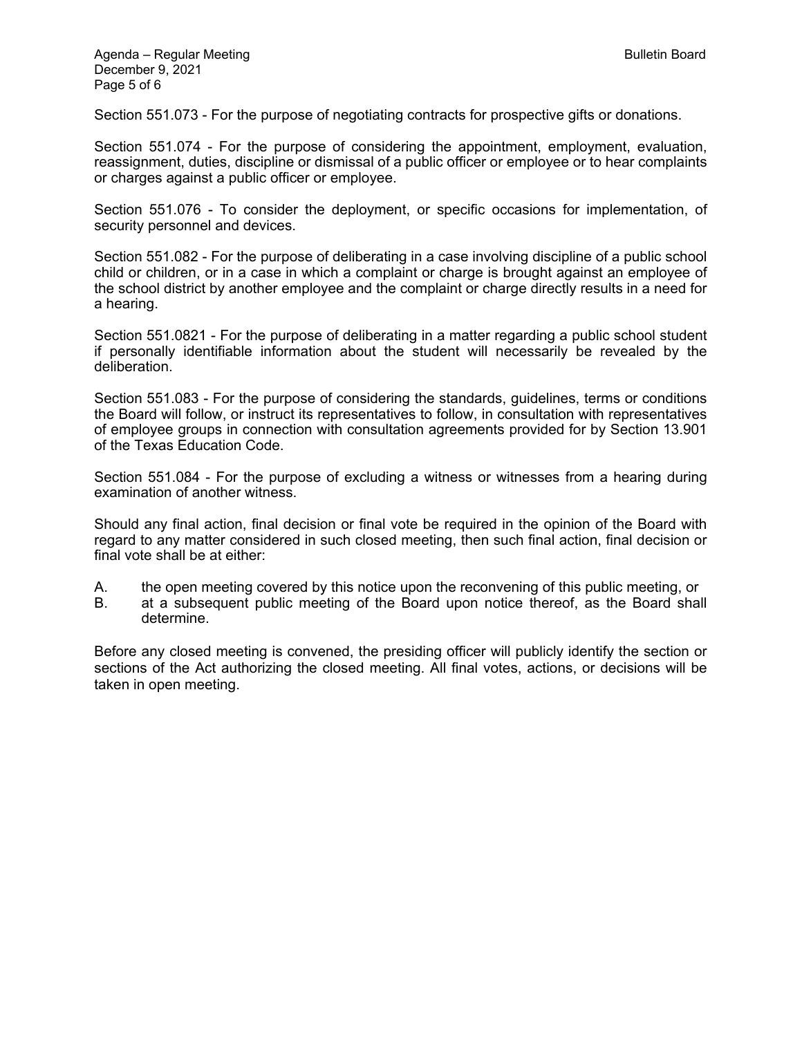Section 551.073 - For the purpose of negotiating contracts for prospective gifts or donations.

Section 551.074 - For the purpose of considering the appointment, employment, evaluation, reassignment, duties, discipline or dismissal of a public officer or employee or to hear complaints or charges against a public officer or employee.

Section 551.076 - To consider the deployment, or specific occasions for implementation, of security personnel and devices.

Section 551.082 - For the purpose of deliberating in a case involving discipline of a public school child or children, or in a case in which a complaint or charge is brought against an employee of the school district by another employee and the complaint or charge directly results in a need for a hearing.

Section 551.0821 - For the purpose of deliberating in a matter regarding a public school student if personally identifiable information about the student will necessarily be revealed by the deliberation.

Section 551.083 - For the purpose of considering the standards, guidelines, terms or conditions the Board will follow, or instruct its representatives to follow, in consultation with representatives of employee groups in connection with consultation agreements provided for by Section 13.901 of the Texas Education Code.

Section 551.084 - For the purpose of excluding a witness or witnesses from a hearing during examination of another witness.

Should any final action, final decision or final vote be required in the opinion of the Board with regard to any matter considered in such closed meeting, then such final action, final decision or final vote shall be at either:

A. the open meeting covered by this notice upon the reconvening of this public meeting, or

B. at a subsequent public meeting of the Board upon notice thereof, as the Board shall determine.

Before any closed meeting is convened, the presiding officer will publicly identify the section or sections of the Act authorizing the closed meeting. All final votes, actions, or decisions will be taken in open meeting.